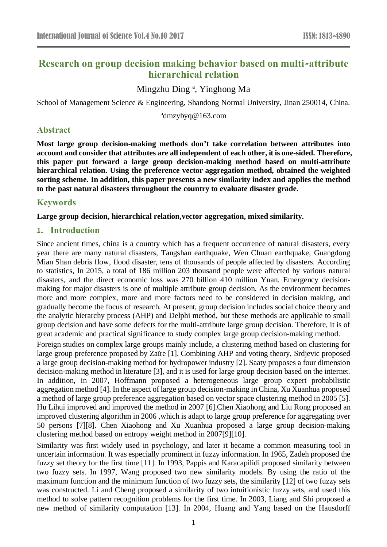# **Research on group decision making behavior based on multi-attribute hierarchical relation**

# Mingzhu Ding<sup>a</sup>, Yinghong Ma

School of Management Science & Engineering, Shandong Normal University, Jinan 250014, China.

<sup>a</sup>dmzybyq@163.com

# **Abstract**

**Most large group decision-making methods don't take correlation between attributes into account and consider that attributes are all independent of each other, it is one-sided. Therefore, this paper put forward a large group decision-making method based on multi-attribute hierarchical relation. Using the preference vector aggregation method, obtained the weighted sorting scheme. In addition, this paper presents a new similarity index and applies the method to the past natural disasters throughout the country to evaluate disaster grade.**

# **Keywords**

**Large group decision, hierarchical relation,vector aggregation, mixed similarity.**

# **1. Introduction**

Since ancient times, china is a country which has a frequent occurrence of natural disasters, every year there are many natural disasters, Tangshan earthquake, Wen Chuan earthquake, Guangdong Mian Shan debris flow, flood disaster, tens of thousands of people affected by disasters. According to statistics, In 2015, a total of 186 million 203 thousand people were affected by various natural disasters, and the direct economic loss was 270 billion 410 million Yuan. Emergency decisionmaking for major disasters is one of multiple attribute group decision. As the environment becomes more and more complex, more and more factors need to be considered in decision making, and gradually become the focus of research. At present, group decision includes social choice theory and the analytic hierarchy process (AHP) and Delphi method, but these methods are applicable to small group decision and have some defects for the multi-attribute large group decision. Therefore, it is of great academic and practical significance to study complex large group decision-making method.

Foreign studies on complex large groups mainly include, a clustering method based on clustering for large group preference proposed by Za  $\ddot{\text{r}}$  [\[1\].](#page-13-0) Combining AHP and voting theory, Srdjevic proposed a large group decision-making method for hydropower industry [\[2\].](#page-13-1) Saaty proposes a four dimension decision-making method in literature [\[3\],](#page-13-2) and it is used for large group decision based on the internet. In addition, in 2007, Hoffmann proposed a heterogeneous large group expert probabilistic aggregation method [\[4\].](#page-13-3) In the aspect of large group decision-making in China, Xu Xuanhua proposed a method of large group preference aggregation based on vector space clustering method in 2005 [\[5\].](#page-13-4) Hu Lihui improved and improved the method in 2007 [\[6\].](#page-14-0)Chen Xiaohong and Liu Rong proposed an improved clustering algorithm in 2006 ,which is adapt to large group preference for aggregating over 50 persons [\[7\]\[8\].](#page-14-1) Chen Xiaohong and Xu Xuanhua proposed a large group decision-making clustering method based on entropy weight method in 200[7\[9\]\[10\].](#page-14-2)

Similarity was first widely used in psychology, and later it became a common measuring tool in uncertain information. It was especially prominent in fuzzy information. In 1965, Zadeh proposed the fuzzy set theory for the first time [\[11\].](#page-14-3) In 1993, Pappis and Karacapilidi proposed similarity between two fuzzy sets. In 1997, Wang proposed two new similarity models. By using the ratio of the maximum function and the minimum function of two fuzzy sets, the similarity [\[12\]](#page-14-4) of two fuzzy sets was constructed. Li and Cheng proposed a similarity of two intuitionistic fuzzy sets, and used this method to solve pattern recognition problems for the first time. In 2003, Liang and Shi proposed a new method of similarity computation [\[13\].](#page-14-5) In 2004, Huang and Yang based on the Hausdorff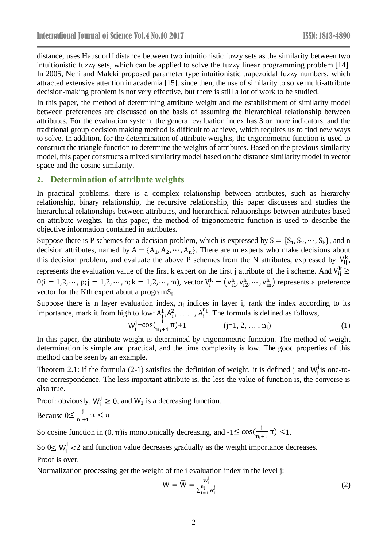distance, uses Hausdorff distance between two intuitionistic fuzzy sets as the similarity between two intuitionistic fuzzy sets, which can be applied to solve the fuzzy linear programming problem [\[14\].](#page-14-6) In 2005, Nehi and Maleki proposed parameter type intuitionistic trapezoidal fuzzy numbers, which attracted extensive attention in academia [\[15\].](#page-14-7) since then, the use of similarity to solve multi-attribute decision-making problem is not very effective, but there is still a lot of work to be studied.

In this paper, the method of determining attribute weight and the establishment of similarity model between preferences are discussed on the basis of assuming the hierarchical relationship between attributes. For the evaluation system, the general evaluation index has 3 or more indicators, and the traditional group decision making method is difficult to achieve, which requires us to find new ways to solve. In addition, for the determination of attribute weights, the trigonometric function is used to construct the triangle function to determine the weights of attributes. Based on the previous similarity model, this paper constructs a mixed similarity model based on the distance similarity model in vector space and the cosine similarity.

### **2. Determination of attribute weights**

In practical problems, there is a complex relationship between attributes, such as hierarchy relationship, binary relationship, the recursive relationship, this paper discusses and studies the hierarchical relationships between attributes, and hierarchical relationships between attributes based on attribute weights. In this paper, the method of trigonometric function is used to describe the objective information contained in attributes.

Suppose there is P schemes for a decision problem, which is expressed by  $S = \{S_1, S_2, \dots, S_P\}$ , and n decision attributes, named by  $A = \{A_1, A_2, \dots, A_n\}$ . There are m experts who make decisions about this decision problem, and evaluate the above P schemes from the N attributes, expressed by  $V_{ij}^k$ , represents the evaluation value of the first k expert on the first j attribute of the i scheme. And  $V_{ij}^k \geq$  $0(i = 1, 2, \dots, p; j = 1, 2, \dots, n; k = 1, 2, \dots, m)$ , vector  $V_i^k = (v_{i1}^k, v_{i2}^k, \dots, v_{in}^k)$  represents a preference vector for the Kth expert about a programS<sub>i</sub>.

Suppose there is n layer evaluation index,  $n_i$  indices in layer i, rank the index according to its importance, mark it from high to low:  $A_1^1, A_1^2, \ldots, A_i^{n_i}$ . The formula is defined as follows,

$$
W_i^j = \cos(\frac{i}{n_i + 1}\pi) + 1 \qquad (j = 1, 2, ..., n_i)
$$
 (1)

In this paper, the attribute weight is determined by trigonometric function. The method of weight determination is simple and practical, and the time complexity is low. The good properties of this method can be seen by an example.

Theorem 2.1: if the formula (2-1) satisfies the definition of weight, it is defined j and  $W_i^j$  is one-toone correspondence. The less important attribute is, the less the value of function is, the converse is also true.

Proof: obviously,  $W_i^j \geq 0$ , and  $W_1$  is a decreasing function.

Because 
$$
0 \leq \frac{j}{n_i+1} \pi < \pi
$$

So cosine function in  $(0, \pi)$  is monotonically decreasing, and  $-1 \leq \cos(\frac{1}{n})$  $\frac{1}{n_1+1}\pi$  <1.

So  $0 \leq W_i^j$  <2 and function value decreases gradually as the weight importance decreases. Proof is over.

Normalization processing get the weight of the i evaluation index in the level j:

$$
W = \overline{W} = \frac{w_1^j}{\sum_{i=1}^{n_i} w_i^j}
$$
 (2)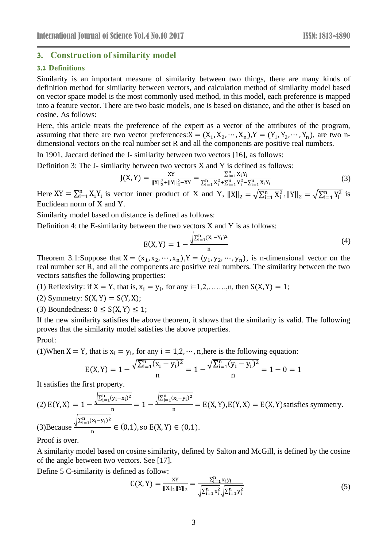### **3. Construction of similarity model**

### **3.1 Definitions**

Similarity is an important measure of similarity between two things, there are many kinds of definition method for similarity between vectors, and calculation method of similarity model based on vector space model is the most commonly used method, in this model, each preference is mapped into a feature vector. There are two basic models, one is based on distance, and the other is based on cosine. As follows:

Here, this article treats the preference of the expert as a vector of the attributes of the program, assuming that there are two vector preferences:  $X = (X_1, X_2, \dots, X_n), Y = (Y_1, Y_2, \dots, Y_n)$ , are two ndimensional vectors on the real number set R and all the components are positive real numbers.

In 1901, Jaccard defined the J- similarity between two vectors [\[16\],](#page-14-8) as follows:

Definition 3: The J- similarity between two vectors X and Y is defined as follows:

$$
J(X,Y) = \frac{XY}{\|X\|_2^2 + \|Y\|_2^2 - XY} = \frac{\sum_{i=1}^n X_i Y_i}{\sum_{i=1}^n X_i^2 + \sum_{i=1}^n Y_i^2 - \sum_{i=1}^n X_i Y_i}
$$
(3)

Here  $XY = \sum_{i=1}^{n} X_i Y_i$  is vector inner product of X and Y,  $||X||_2 = \sqrt{\sum_{i=1}^{n} X_i^2}$  $\sum_{i=1}^{n} X_i^2$ ,  $||Y||_2 = \sqrt{\sum_{i=1}^{n} Y_i^2}$  $_{i=1}^{n} Y_i^2$  is Euclidean norm of X and Y.

Similarity model based on distance is defined as follows:

Definition 4: the E-similarity between the two vectors  $X$  and  $Y$  is as follows:

$$
E(X,Y) = 1 - \frac{\sqrt{\sum_{i=1}^{n} (X_i - Y_i)^2}}{n}
$$
 (4)

Theorem 3.1:Suppose that  $X = (x_1, x_2, \dots, x_n)$ ,  $Y = (y_1, y_2, \dots, y_n)$ , is n-dimensional vector on the real number set R, and all the components are positive real numbers. The similarity between the two vectors satisfies the following properties:

(1) Reflexivity: if  $X = Y$ , that is,  $x_i = y_i$ , for any i=1,2,....,n, then  $S(X, Y) = 1$ ;

(2) Symmetry:  $S(X, Y) = S(Y, X);$ 

(3) Boundedness:  $0 \le S(X, Y) \le 1$ ;

If the new similarity satisfies the above theorem, it shows that the similarity is valid. The following proves that the similarity model satisfies the above properties.

#### Proof:

(1)When X = Y, that is  $x_i = y_i$ , for any  $i = 1, 2, \dots$ , n, here is the following equation:

$$
E(X, Y) = 1 - \frac{\sqrt{\sum_{i=1}^{n} (x_i - y_i)^2}}{n} = 1 - \frac{\sqrt{\sum_{i=1}^{n} (y_i - y_i)^2}}{n} = 1 - 0 = 1
$$

It satisfies the first property.

(2) 
$$
E(Y, X) = 1 - \frac{\sqrt{\sum_{i=1}^{n} (y_i - x_i)^2}}{n} = 1 - \frac{\sqrt{\sum_{i=1}^{n} (x_i - y_i)^2}}{n} = E(X, Y), E(Y, X) = E(X, Y)
$$
 satisfies symmetry.  
(3)Because  $\frac{\sqrt{\sum_{i=1}^{n} (x_i - y_i)^2}}{n} \in (0, 1)$ , so  $E(X, Y) \in (0, 1)$ .

Proof is over.

A similarity model based on cosine similarity, defined by Salton and McGill, is defined by the cosine of the angle between two vectors. See [\[17\].](#page-14-9)

Define 5 C-similarity is defined as follow:

$$
C(X, Y) = \frac{XY}{\|X\|_2 \|Y\|_2} = \frac{\sum_{i=1}^n x_i y_i}{\sqrt{\sum_{i=1}^n x_i^2} \sqrt{\sum_{i=1}^n y_i^2}}
$$
(5)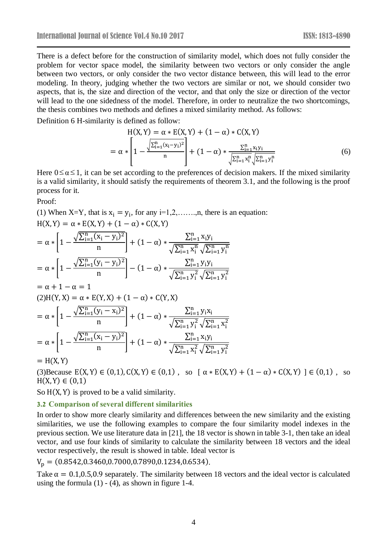There is a defect before for the construction of similarity model, which does not fully consider the problem for vector space model, the similarity between two vectors or only consider the angle between two vectors, or only consider the two vector distance between, this will lead to the error modeling. In theory, judging whether the two vectors are similar or not, we should consider two aspects, that is, the size and direction of the vector, and that only the size or direction of the vector will lead to the one sidedness of the model. Therefore, in order to neutralize the two shortcomings, the thesis combines two methods and defines a mixed similarity method. As follows:

Definition 6 H-similarity is defined as follow:

$$
H(X, Y) = \alpha * E(X, Y) + (1 - \alpha) * C(X, Y)
$$
  
=  $\alpha * \left[1 - \frac{\sum_{i=1}^{n} (x_i - y_i)^2}{n}\right] + (1 - \alpha) * \frac{\sum_{i=1}^{n} x_i y_i}{\sqrt{\sum_{i=1}^{n} x_i^n} \sqrt{\sum_{i=1}^{n} y_i^n}}$  (6)

Here  $0 \le \alpha \le 1$ , it can be set according to the preferences of decision makers. If the mixed similarity is a valid similarity, it should satisfy the requirements of theorem 3.1, and the following is the proof process for it.

Proof:

(1) When X=Y, that is  $x_i = y_i$ , for any i=1,2,......,n, there is an equation:  $H(X, Y) = \alpha * E(X, Y) + (1 - \alpha) * C(X, Y)$ 

$$
= \alpha * \left[1 - \frac{\sqrt{\sum_{i=1}^{n} (x_i - y_i)^2}}{n}\right] + (1 - \alpha) * \frac{\sum_{i=1}^{n} x_i y_i}{\sqrt{\sum_{i=1}^{n} x_i^n} \sqrt{\sum_{i=1}^{n} y_i^n}}
$$

$$
= \alpha * \left[1 - \frac{\sqrt{\sum_{i=1}^{n} (y_i - y_i)^2}}{n}\right] - (1 - \alpha) * \frac{\sum_{i=1}^{n} y_i y_i}{\sqrt{\sum_{i=1}^{n} y_i^2} \sqrt{\sum_{i=1}^{n} y_i^2}}
$$

$$
= \alpha + 1 - \alpha = 1
$$

$$
(2)H(Y, X) = \alpha * E(Y, X) + (1 - \alpha) * C(Y, X)
$$

$$
= \alpha * \left[1 - \frac{\sqrt{\sum_{i=1}^{n} (y_i - x_i)^2}}{n}\right] + (1 - \alpha) * \frac{\sum_{i=1}^{n} y_i x_i}{\sqrt{\sum_{i=1}^{n} y_i^2} \sqrt{\sum_{i=1}^{n} x_i^2}}
$$

$$
= \alpha * \left[1 - \frac{\sqrt{\sum_{i=1}^{n} (x_i - y_i)^2}}{n}\right] + (1 - \alpha) * \frac{\sum_{i=1}^{n} x_i y_i}{\sqrt{\sum_{i=1}^{n} x_i^2} \sqrt{\sum_{i=1}^{n} y_i^2}}
$$

 $=$  H(X, Y)

(3)Because  $E(X, Y) \in (0,1), C(X, Y) \in (0,1)$ , so  $[\alpha * E(X, Y) + (1 - \alpha) * C(X, Y)] \in (0,1)$ , so  $H(X, Y) \in (0, 1)$ 

So  $H(X, Y)$  is proved to be a valid similarity.

#### **3.2 Comparison of several different similarities**

In order to show more clearly similarity and differences between the new similarity and the existing similarities, we use the following examples to compare the four similarity model indexes in the previous section. We use literature data in [21], the 18 vector is shown in table 3-1, then take an ideal vector, and use four kinds of similarity to calculate the similarity between 18 vectors and the ideal vector respectively, the result is showed in table. Ideal vector is

 $V_p = (0.8542, 0.3460, 0.7000, 0.7890, 0.1234, 0.6534).$ 

Take  $\alpha = 0.1, 0.5, 0.9$  separately. The similarity between 18 vectors and the ideal vector is calculated using the formula  $(1)$  -  $(4)$ , as shown in figure 1-4.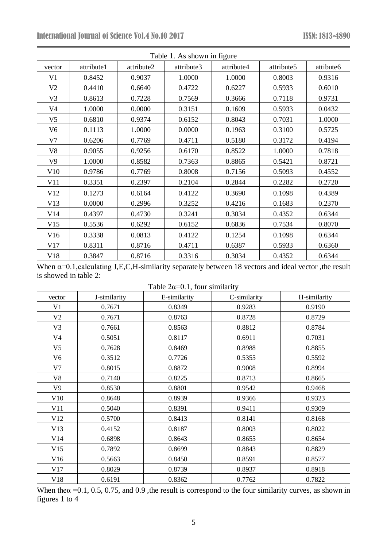| Table 1. As shown in figure |            |            |            |            |            |           |  |
|-----------------------------|------------|------------|------------|------------|------------|-----------|--|
| vector                      | attribute1 | attribute2 | attribute3 | attribute4 | attribute5 | attibute6 |  |
| V <sub>1</sub>              | 0.8452     | 0.9037     | 1.0000     | 1.0000     | 0.8003     | 0.9316    |  |
| V <sub>2</sub>              | 0.4410     | 0.6640     | 0.4722     | 0.6227     | 0.5933     | 0.6010    |  |
| V3                          | 0.8613     | 0.7228     | 0.7569     | 0.3666     | 0.7118     | 0.9731    |  |
| V4                          | 1.0000     | 0.0000     | 0.3151     | 0.1609     | 0.5933     | 0.0432    |  |
| V <sub>5</sub>              | 0.6810     | 0.9374     | 0.6152     | 0.8043     | 0.7031     | 1.0000    |  |
| V <sub>6</sub>              | 0.1113     | 1.0000     | 0.0000     | 0.1963     | 0.3100     | 0.5725    |  |
| V7                          | 0.6206     | 0.7769     | 0.4711     | 0.5180     | 0.3172     | 0.4194    |  |
| V8                          | 0.9055     | 0.9256     | 0.6170     | 0.8522     | 1.0000     | 0.7818    |  |
| V9                          | 1.0000     | 0.8582     | 0.7363     | 0.8865     | 0.5421     | 0.8721    |  |
| V10                         | 0.9786     | 0.7769     | 0.8008     | 0.7156     | 0.5093     | 0.4552    |  |
| V11                         | 0.3351     | 0.2397     | 0.2104     | 0.2844     | 0.2282     | 0.2720    |  |
| V12                         | 0.1273     | 0.6164     | 0.4122     | 0.3690     | 0.1098     | 0.4389    |  |
| V13                         | 0.0000     | 0.2996     | 0.3252     | 0.4216     | 0.1683     | 0.2370    |  |
| V14                         | 0.4397     | 0.4730     | 0.3241     | 0.3034     | 0.4352     | 0.6344    |  |
| V15                         | 0.5536     | 0.6292     | 0.6152     | 0.6836     | 0.7534     | 0.8070    |  |
| V16                         | 0.3338     | 0.0813     | 0.4122     | 0.1254     | 0.1098     | 0.6344    |  |
| V17                         | 0.8311     | 0.8716     | 0.4711     | 0.6387     | 0.5933     | 0.6360    |  |
| V18                         | 0.3847     | 0.8716     | 0.3316     | 0.3034     | 0.4352     | 0.6344    |  |

When α=0.1, calculating J,E,C,H-similarity separately between 18 vectors and ideal vector, the result is showed in table 2:

Table  $2\alpha=0.1$ , four similarity

| vector         | J-similarity | E-similarity | C-similarity | H-similarity |
|----------------|--------------|--------------|--------------|--------------|
| V <sub>1</sub> | 0.7671       | 0.8349       | 0.9283       | 0.9190       |
| V <sub>2</sub> | 0.7671       | 0.8763       | 0.8728       | 0.8729       |
| V <sub>3</sub> | 0.7661       | 0.8563       | 0.8812       | 0.8784       |
| V <sub>4</sub> | 0.5051       | 0.8117       | 0.6911       | 0.7031       |
| V <sub>5</sub> | 0.7628       | 0.8469       | 0.8988       | 0.8855       |
| V <sub>6</sub> | 0.3512       | 0.7726       | 0.5355       | 0.5592       |
| V <sub>7</sub> | 0.8015       | 0.8872       | 0.9008       | 0.8994       |
| V8             | 0.7140       | 0.8225       | 0.8713       | 0.8665       |
| V9             | 0.8530       | 0.8801       | 0.9542       | 0.9468       |
| V10            | 0.8648       | 0.8939       | 0.9366       | 0.9323       |
| V11            | 0.5040       | 0.8391       | 0.9411       | 0.9309       |
| V12            | 0.5700       | 0.8413       | 0.8141       | 0.8168       |
| V13            | 0.4152       | 0.8187       | 0.8003       | 0.8022       |
| V14            | 0.6898       | 0.8643       | 0.8655       | 0.8654       |
| V15            | 0.7892       | 0.8699       | 0.8843       | 0.8829       |
| V16            | 0.5663       | 0.8450       | 0.8591       | 0.8577       |
| V17            | 0.8029       | 0.8739       | 0.8937       | 0.8918       |
| V18            | 0.6191       | 0.8362       | 0.7762       | 0.7822       |

When the $\alpha$  =0.1, 0.5, 0.75, and 0.9, the result is correspond to the four similarity curves, as shown in figures 1 to 4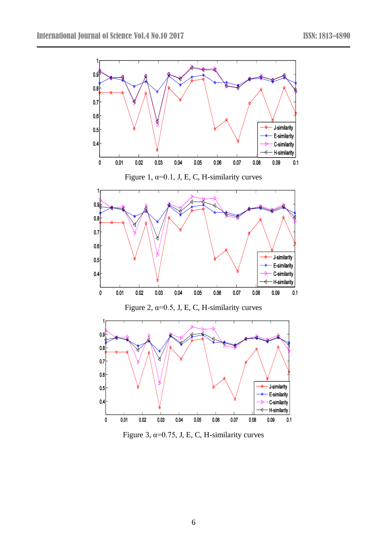

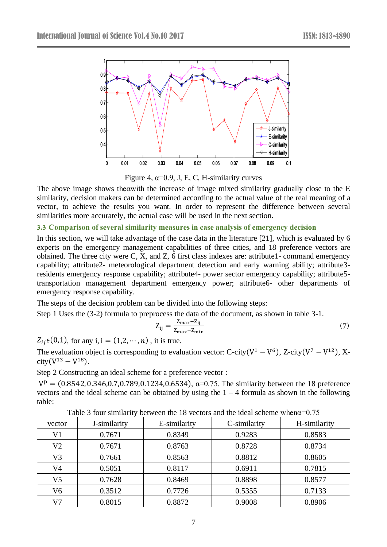

Figure 4,  $\alpha$ =0.9, J, E, C, H-similarity curves

The above image shows the awith the increase of image mixed similarity gradually close to the E similarity, decision makers can be determined according to the actual value of the real meaning of a vector, to achieve the results you want. In order to represent the difference between several similarities more accurately, the actual case will be used in the next section.

### **3.3 Comparison of several similarity measures in case analysis of emergency decision**

In this section, we will take advantage of the case data in the literature [21], which is evaluated by 6 experts on the emergency management capabilities of three cities, and 18 preference vectors are obtained. The three city were C, X, and Z, 6 first class indexes are: attribute1- command emergency capability; attribute2- meteorological department detection and early warning ability; attribute3 residents emergency response capability; attribute4- power sector emergency capability; attribute5 transportation management department emergency power; attribute6- other departments of emergency response capability.

The steps of the decision problem can be divided into the following steps:

Step 1 Uses the (3-2) formula to preprocess the data of the document, as shown in table 3-1.

$$
Z_{ij} = \frac{Z_{\text{max}} - Z_{ij}}{Z_{\text{max}} - Z_{\text{min}}}
$$
\n<sup>(7)</sup>

 $Z_{ij}\epsilon(0,1)$ , for any i, i =  $(1,2,\dots,n)$ , it is true.

The evaluation object is corresponding to evaluation vector: C-city( $V^1 - V^6$ ), Z-city( $V^7 - V^{12}$ ), X- $\text{city}(V^{13} - V^{18}).$ 

Step 2 Constructing an ideal scheme for a preference vector :

 $V^{\rm p} = (0.8542, 0.346, 0.7, 0.789, 0.1234, 0.6534), \alpha = 0.75$ . The similarity between the 18 preference vectors and the ideal scheme can be obtained by using the  $1 - 4$  formula as shown in the following table:

| vector         | J-similarity | E-similarity | C-similarity | H-similarity |  |  |
|----------------|--------------|--------------|--------------|--------------|--|--|
| V1             | 0.7671       | 0.8349       | 0.9283       | 0.8583       |  |  |
| V <sub>2</sub> | 0.7671       | 0.8763       | 0.8728       | 0.8734       |  |  |
| V3             | 0.7661       | 0.8563       | 0.8812       | 0.8605       |  |  |
| V4             | 0.5051       | 0.8117       | 0.6911       | 0.7815       |  |  |
| V5             | 0.7628       | 0.8469       | 0.8898       | 0.8577       |  |  |
| V6             | 0.3512       | 0.7726       | 0.5355       | 0.7133       |  |  |
| V7             | 0.8015       | 0.8872       | 0.9008       | 0.8906       |  |  |

Table 3 four similarity between the 18 vectors and the ideal scheme whenα=0.75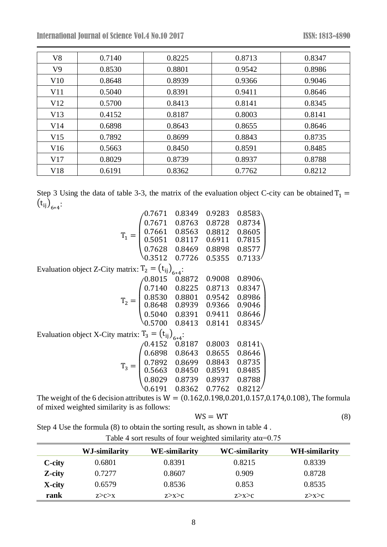| V <sub>8</sub> | 0.7140 | 0.8225 | 0.8713 | 0.8347 |
|----------------|--------|--------|--------|--------|
| V9             | 0.8530 | 0.8801 | 0.9542 | 0.8986 |
| V10            | 0.8648 | 0.8939 | 0.9366 | 0.9046 |
| V11            | 0.5040 | 0.8391 | 0.9411 | 0.8646 |
| V12            | 0.5700 | 0.8413 | 0.8141 | 0.8345 |
| V13            | 0.4152 | 0.8187 | 0.8003 | 0.8141 |
| V14            | 0.6898 | 0.8643 | 0.8655 | 0.8646 |
| V15            | 0.7892 | 0.8699 | 0.8843 | 0.8735 |
| V16            | 0.5663 | 0.8450 | 0.8591 | 0.8485 |
| V17            | 0.8029 | 0.8739 | 0.8937 | 0.8788 |
| V18            | 0.6191 | 0.8362 | 0.7762 | 0.8212 |

Step 3 Using the data of table 3-3, the matrix of the evaluation object C-city can be obtained  $T_1$  =  $(t_{ij})_{6*4}$ :

|                                                           | 0.7671                                                                                                                                                   | 0.8349     | 0.9283 | 0.8583 |
|-----------------------------------------------------------|----------------------------------------------------------------------------------------------------------------------------------------------------------|------------|--------|--------|
|                                                           | $T_1 = \begin{pmatrix} 0.7671 \ 0.7661 \ 0.5051 \ 0.7628 \ 0.3512 \end{pmatrix}$                                                                         | 0.8763     | 0.8728 | 0.8734 |
|                                                           |                                                                                                                                                          | 0.8563     | 0.8812 | 0.8605 |
|                                                           |                                                                                                                                                          | 0.8117     | 0.6911 | 0.7815 |
|                                                           |                                                                                                                                                          | 0.8469     | 0.8898 | 0.8577 |
|                                                           |                                                                                                                                                          | 0.7726     | 0.5355 | 0.7133 |
| Evaluation object Z-City matrix: $T_2 = (t_{ij})_{6*4}$ : |                                                                                                                                                          |            |        |        |
|                                                           |                                                                                                                                                          |            | 0.9008 | 0.8906 |
|                                                           |                                                                                                                                                          |            | 0.8713 | 0.8347 |
|                                                           |                                                                                                                                                          |            | 0.9542 | 0.8986 |
|                                                           |                                                                                                                                                          |            | 0.9366 | 0.9046 |
|                                                           |                                                                                                                                                          |            | 0.9411 | 0.8646 |
|                                                           | $\mathrm{T}_2 = \begin{pmatrix} 0.8015 & 0.8872 \ 0.7140 & 0.8225 \ 0.8530 & 0.8801 \ 0.8648 & 0.8939 \ 0.5040 & 0.8391 \ 0.5700 & 0.8413 \end{pmatrix}$ |            | 0.8141 | 0.8345 |
| Evaluation object X-City matrix: $T_3 = (t_{ij})_{6*4}$ : |                                                                                                                                                          |            |        |        |
|                                                           | 0.4152                                                                                                                                                   | 0.8187     | 0.8003 | 0.8141 |
|                                                           |                                                                                                                                                          | 0.8643     | 0.8655 | 0.8646 |
|                                                           |                                                                                                                                                          | 0.8699     | 0.8843 | 0.8735 |
|                                                           |                                                                                                                                                          | 0.8450     | 0.8591 | 0.8485 |
|                                                           | $T_3 = \begin{pmatrix} 0.6898 \\ 0.6898 \\ 0.7892 \\ 0.5663 \\ 0.8029 \end{pmatrix}$                                                                     | 0.8739     | 0.8937 | 0.8788 |
|                                                           | 0.6191                                                                                                                                                   | 0.8362     | 0.7762 | 0.8212 |
| $C_{\ell}$ $\mathbf{1}$                                   |                                                                                                                                                          | $\sqrt{2}$ |        |        |

The weight of the 6 decision attributes is  $W = (0.162, 0.198, 0.201, 0.157, 0.174, 0.108)$ , The formula of mixed weighted similarity is as follows:

$$
WS = WT
$$
 (8)

Step 4 Use the formula (8) to obtain the sorting result, as shown in table 4 .

|                |               | Tuble T boil results of four weighted similarly always. |                      |                      |  |
|----------------|---------------|---------------------------------------------------------|----------------------|----------------------|--|
|                | WJ-similarity | <b>WE-similarity</b>                                    | <b>WC-similarity</b> | <b>WH-similarity</b> |  |
| <b>C</b> -city | 0.6801        | 0.8391                                                  | 0.8215               | 0.8339               |  |
| Z-city         | 0.7277        | 0.8607                                                  | 0.909                | 0.8728               |  |
| X-city         | 0.6579        | 0.8536                                                  | 0.853                | 0.8535               |  |
| rank           | Z > C > X     | Z > X > C                                               | Z > X > C            | Z > X > C            |  |

Table 4 sort results of four weighted similarity ata=0.75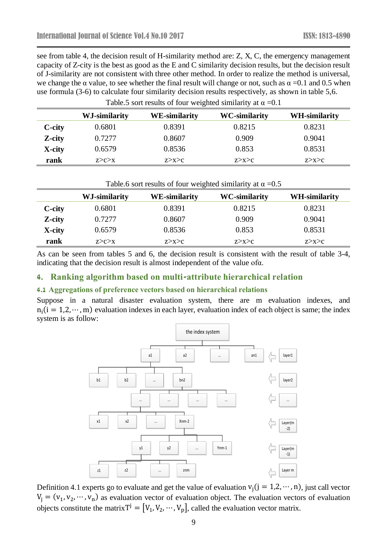see from table 4, the decision result of H-similarity method are: Z, X, C, the emergency management capacity of Z-city is the best as good as the E and C similarity decision results, but the decision result of J-similarity are not consistent with three other method. In order to realize the method is universal, we change the  $\alpha$  value, to see whether the final result will change or not, such as  $\alpha =0.1$  and 0.5 when use formula (3-6) to calculate four similarity decision results respectively, as shown in table 5,6.

Table.5 sort results of four weighted similarity at  $\alpha = 0.1$ 

|                | $1$ across bond repairs of roar $\pi$ eighted similarly at $\alpha$ of $1$ |                      |                      |               |  |  |  |
|----------------|----------------------------------------------------------------------------|----------------------|----------------------|---------------|--|--|--|
|                | WJ-similarity                                                              | <b>WE-similarity</b> | <b>WC-similarity</b> | WH-similarity |  |  |  |
| <b>C</b> -city | 0.6801                                                                     | 0.8391               | 0.8215               | 0.8231        |  |  |  |
| Z-city         | 0.7277                                                                     | 0.8607               | 0.909                | 0.9041        |  |  |  |
| X-city         | 0.6579                                                                     | 0.8536               | 0.853                | 0.8531        |  |  |  |
| rank           | Z > C > X                                                                  | Z > X > C            | Z > X > C            | Z > X > C     |  |  |  |

Table 6 sort results of four weighted similarity at  $\alpha$  =0.5

|        | $1$ across solute counts on four weighted similarity at $\alpha = 0.5$ |                      |                      |                      |  |  |  |  |
|--------|------------------------------------------------------------------------|----------------------|----------------------|----------------------|--|--|--|--|
|        | WJ-similarity                                                          | <b>WE-similarity</b> | <b>WC-similarity</b> | <b>WH-similarity</b> |  |  |  |  |
| C-city | 0.6801                                                                 | 0.8391               | 0.8215               | 0.8231               |  |  |  |  |
| Z-city | 0.7277                                                                 | 0.8607               | 0.909                | 0.9041               |  |  |  |  |
| X-city | 0.6579                                                                 | 0.8536               | 0.853                | 0.8531               |  |  |  |  |

**rank** z>c>x z>x>c z>x>c z>x>c z>x>c

As can be seen from tables 5 and 6, the decision result is consistent with the result of table 3-4, indicating that the decision result is almost independent of the value ofα.

# **4. Ranking algorithm based on multi-attribute hierarchical relation**

### **4.1 Aggregations of preference vectors based on hierarchical relations**

Suppose in a natural disaster evaluation system, there are m evaluation indexes, and  $n_i$ (i = 1,2, …, m) evaluation indexes in each layer, evaluation index of each object is same; the index system is as follow:



Definition 4.1 experts go to evaluate and get the value of evaluation  $v_i$  (j = 1,2, …, n), just call vector  $V_j = (v_1, v_2, \dots, v_n)$  as evaluation vector of evaluation object. The evaluation vectors of evaluation objects constitute the matrix  $T^j = [V_1, V_2, \dots, V_p]$ , called the evaluation vector matrix.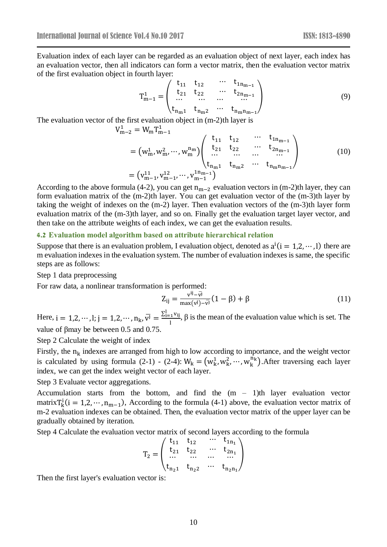Evaluation index of each layer can be regarded as an evaluation object of next layer, each index has an evaluation vector, then all indicators can form a vector matrix, then the evaluation vector matrix of the first evaluation object in fourth layer:

$$
T_{m-1}^{1} = \begin{pmatrix} t_{11} & t_{12} & \cdots & t_{1n_{m-1}} \\ t_{21} & t_{22} & \cdots & t_{2n_{m-1}} \\ \cdots & \cdots & \cdots & \cdots \\ t_{n_{m1}} & t_{n_{m2}} & \cdots & t_{n_{m}n_{m-1}} \end{pmatrix}
$$
(9)

The evaluation vector of the first evaluation object in (m-2)th layer is

$$
V_{m-2}^{1} = W_{m} T_{m-1}^{1}
$$
  
=  $(w_{m}^{1}, w_{m}^{2}, \dots, w_{m}^{n_{m}}) \begin{pmatrix} t_{11} & t_{12} & \cdots & t_{1n_{m-1}} \\ t_{21} & t_{22} & \cdots & t_{2n_{m-1}} \\ \vdots & \vdots & \ddots & \vdots \\ t_{n_{m}1} & t_{n_{m}2} & \cdots & t_{n_{m}n_{m-1}} \end{pmatrix}$  (10)  
=  $(v_{m-1}^{11}, v_{m-1}^{12}, \dots, v_{m-1}^{1n_{m-1}})$ 

According to the above formula (4-2), you can get  $n_{m-2}$  evaluation vectors in (m-2)th layer, they can form evaluation matrix of the (m-2)th layer. You can get evaluation vector of the (m-3)th layer by taking the weight of indexes on the (m-2) layer. Then evaluation vectors of the (m-3)th layer form evaluation matrix of the (m-3)th layer, and so on. Finally get the evaluation target layer vector, and then take on the attribute weights of each index, we can get the evaluation results.

#### **4.2 Evaluation model algorithm based on attribute hierarchical relation**

Suppose that there is an evaluation problem, I evaluation object, denoted as  $a^i(i = 1, 2, \dots, l)$  there are m evaluation indexes in the evaluation system. The number of evaluation indexes is same, the specific steps are as follows:

Step 1 data preprocessing

For raw data, a nonlinear transformation is performed:

$$
Z_{ij} = \frac{v^{ij} - \bar{v}^j}{\max(v^j) - \bar{v}^j} (1 - \beta) + \beta
$$
 (11)

Here,  $i = 1, 2, \dots, l; j = 1, 2, \dots, n_k, \overline{v}^j = \frac{\sum_{i=1}^l v_{ij}}{l}$  $\frac{1}{1}$ <sup>Vij</sup>,  $\beta$  is the mean of the evaluation value which is set. The value of βmay be between 0.5 and 0.75.

Step 2 Calculate the weight of index

Firstly, the  $n_k$  indexes are arranged from high to low according to importance, and the weight vector is calculated by using formula (2-1) - (2-4):  $W_k = (w_k^1, w_k^2, \dots, w_k^{n_k})$ . After traversing each layer index, we can get the index weight vector of each layer.

Step 3 Evaluate vector aggregations.

Accumulation starts from the bottom, and find the  $(m - 1)$ th layer evaluation vector matrix  $T_k^i$  (i = 1,2, …, n<sub>m-1</sub>), According to the formula (4-1) above, the evaluation vector matrix of m-2 evaluation indexes can be obtained. Then, the evaluation vector matrix of the upper layer can be gradually obtained by iteration.

Step 4 Calculate the evaluation vector matrix of second layers according to the formula

$$
T_2=\begin{pmatrix} t_{11} & t_{12} & \cdots & t_{1n_1} \\ t_{21} & t_{22} & \cdots & t_{2n_1} \\ \cdots & \cdots & \cdots & \cdots \\ t_{n_21} & t_{n_22} & \cdots & t_{n_2n_1} \end{pmatrix}
$$

Then the first layer's evaluation vector is: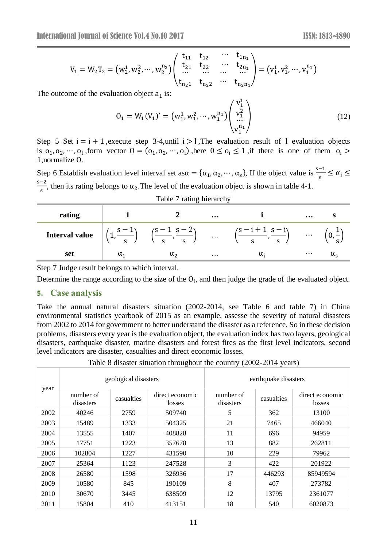$$
V_1 = W_2T_2 = \left(w_2^1,w_2^2,\cdots,w_2^{n_2}\right) \begin{pmatrix} t_{11} & t_{12} & \cdots & t_{1n_1} \\ t_{21} & t_{22} & \cdots & t_{2n_1} \\ \cdots & \cdots & \cdots & \cdots \\ t_{n_21} & t_{n_22} & \cdots & t_{n_2n_1} \end{pmatrix} = \left(v_1^1,v_1^2,\cdots,v_1^{n_1}\right)
$$

The outcome of the evaluation object  $a_1$  is:

$$
0_1 = W_1(V_1)' = (w_1^1, w_1^2, \cdots, w_1^{n_1}) \begin{pmatrix} v_1^1 \\ v_1^2 \\ \cdots \\ v_1^{n_1} \end{pmatrix}
$$
 (12)

 $1<sub>1</sub>$ 

Step 5 Set  $i = i + 1$ , execute step 3-4, until  $i > 1$ , The evaluation result of 1 evaluation objects is  $o_1, o_2, \dots, o_l$ , form vector  $O = (o_1, o_2, \dots, o_l)$ , here  $0 \le o_i \le 1$ , if there is one of them  $o_i >$ 1,normalize O.

Step 6 Establish evaluation level interval set as $\alpha = {\alpha_1, \alpha_2, \cdots, \alpha_s}$ , If the object value is  $\frac{s-1}{s} \le \alpha_i \le$ s−2  $\frac{2}{s}$ , then its rating belongs to  $\alpha_2$ . The level of the evaluation object is shown in table 4-1.

| Table 7 rating hierarchy |                                              |                                             |           |                                                             |          |  |  |  |
|--------------------------|----------------------------------------------|---------------------------------------------|-----------|-------------------------------------------------------------|----------|--|--|--|
| rating                   |                                              |                                             | $\cdots$  |                                                             | $\cdots$ |  |  |  |
| <b>Interval value</b>    | $\left(\frac{s-1}{s}\right)$<br>$\mathbf{C}$ | $\left(\frac{s-1}{s}, \frac{s-2}{s}\right)$ | $\ddotsc$ | $(s-i+1 s-i)$<br>$\left(-\frac{1}{s}\right)$<br>$\varsigma$ | $\cdots$ |  |  |  |
| set                      | $\alpha_1$                                   | $\alpha_{2}$                                | $\cdots$  |                                                             | $\cdots$ |  |  |  |

Step 7 Judge result belongs to which interval.

Determine the range according to the size of the  $O_i$ , and then judge the grade of the evaluated object.

### **5. Case analysis**

Take the annual natural disasters situation (2002-2014, see Table 6 and table 7) in China environmental statistics yearbook of 2015 as an example, assesse the severity of natural disasters from 2002 to 2014 for government to better understand the disaster as a reference. So in these decision problems, disasters every year is the evaluation object, the evaluation index has two layers, geological disasters, earthquake disaster, marine disasters and forest fires as the first level indicators, second level indicators are disaster, casualties and direct economic losses.

Table 8 disaster situation throughout the country (2002-2014 years)

| year | geological disasters   |            |                           | earthquake disasters   |            |                           |
|------|------------------------|------------|---------------------------|------------------------|------------|---------------------------|
|      | number of<br>disasters | casualties | direct economic<br>losses | number of<br>disasters | casualties | direct economic<br>losses |
| 2002 | 40246                  | 2759       | 509740                    | 5                      | 362        | 13100                     |
| 2003 | 15489                  | 1333       | 504325                    | 21                     | 7465       | 466040                    |
| 2004 | 13555                  | 1407       | 408828                    | 11                     | 696        | 94959                     |
| 2005 | 17751                  | 1223       | 357678                    | 13                     | 882        | 262811                    |
| 2006 | 102804                 | 1227       | 431590                    | 10                     | 229        | 79962                     |
| 2007 | 25364                  | 1123       | 247528                    | 3                      | 422        | 201922                    |
| 2008 | 26580                  | 1598       | 326936                    | 17                     | 446293     | 85949594                  |
| 2009 | 10580                  | 845        | 190109                    | 8                      | 407        | 273782                    |
| 2010 | 30670                  | 3445       | 638509                    | 12                     | 13795      | 2361077                   |
| 2011 | 15804                  | 410        | 413151                    | 18                     | 540        | 6020873                   |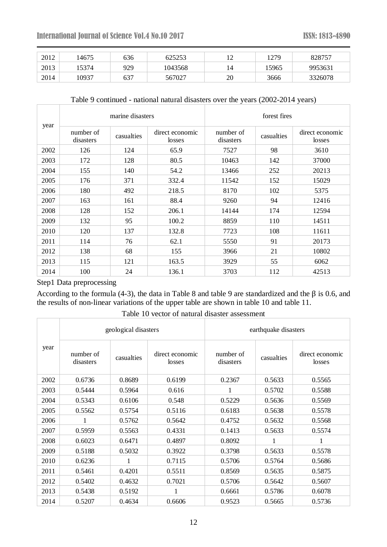| 2012 | 14675 | 636 | 625253  | $1^{\circ}$<br>∸ | 1279  | 828757  |
|------|-------|-----|---------|------------------|-------|---------|
| 2013 | 5374  | 929 | 1043568 | 14               | 15965 | 9953631 |
| 2014 | 10937 | 637 | 567027  | 20               | 3666  | 3326078 |

### Table 9 continued - national natural disasters over the years (2002-2014 years)

| year | marine disasters       |            |                           | forest fires           |            |                           |
|------|------------------------|------------|---------------------------|------------------------|------------|---------------------------|
|      | number of<br>disasters | casualties | direct economic<br>losses | number of<br>disasters | casualties | direct economic<br>losses |
| 2002 | 126                    | 124        | 65.9                      | 7527                   | 98         | 3610                      |
| 2003 | 172                    | 128        | 80.5                      | 10463                  | 142        | 37000                     |
| 2004 | 155                    | 140        | 54.2                      | 13466                  | 252        | 20213                     |
| 2005 | 176                    | 371        | 332.4                     | 11542                  | 152        | 15029                     |
| 2006 | 180                    | 492        | 218.5                     | 8170                   | 102        | 5375                      |
| 2007 | 163                    | 161        | 88.4                      | 9260                   | 94         | 12416                     |
| 2008 | 128                    | 152        | 206.1                     | 14144                  | 174        | 12594                     |
| 2009 | 132                    | 95         | 100.2                     | 8859                   | 110        | 14511                     |
| 2010 | 120                    | 137        | 132.8                     | 7723                   | 108        | 11611                     |
| 2011 | 114                    | 76         | 62.1                      | 5550                   | 91         | 20173                     |
| 2012 | 138                    | 68         | 155                       | 3966                   | 21         | 10802                     |
| 2013 | 115                    | 121        | 163.5                     | 3929                   | 55         | 6062                      |
| 2014 | 100                    | 24         | 136.1                     | 3703                   | 112        | 42513                     |

Step1 Data preprocessing

According to the formula (4-3), the data in Table 8 and table 9 are standardized and the  $\beta$  is 0.6, and the results of non-linear variations of the upper table are shown in table 10 and table 11.

| year | geological disasters   |            |                           | earthquake disasters   |            |                           |  |
|------|------------------------|------------|---------------------------|------------------------|------------|---------------------------|--|
|      | number of<br>disasters | casualties | direct economic<br>losses | number of<br>disasters | casualties | direct economic<br>losses |  |
| 2002 | 0.6736                 | 0.8689     | 0.6199                    | 0.2367                 | 0.5633     | 0.5565                    |  |
| 2003 | 0.5444                 | 0.5964     | 0.616                     | 1                      | 0.5702     | 0.5588                    |  |
| 2004 | 0.5343                 | 0.6106     | 0.548                     | 0.5229                 | 0.5636     | 0.5569                    |  |
| 2005 | 0.5562                 | 0.5754     | 0.5116                    | 0.6183                 | 0.5638     | 0.5578                    |  |
| 2006 | 1                      | 0.5762     | 0.5642                    | 0.4752                 | 0.5632     | 0.5568                    |  |
| 2007 | 0.5959                 | 0.5563     | 0.4331                    | 0.1413                 | 0.5633     | 0.5574                    |  |
| 2008 | 0.6023                 | 0.6471     | 0.4897                    | 0.8092                 | 1          | 1                         |  |
| 2009 | 0.5188                 | 0.5032     | 0.3922                    | 0.3798                 | 0.5633     | 0.5578                    |  |
| 2010 | 0.6236                 | 1          | 0.7115                    | 0.5706                 | 0.5764     | 0.5686                    |  |
| 2011 | 0.5461                 | 0.4201     | 0.5511                    | 0.8569                 | 0.5635     | 0.5875                    |  |
| 2012 | 0.5402                 | 0.4632     | 0.7021                    | 0.5706                 | 0.5642     | 0.5607                    |  |
| 2013 | 0.5438                 | 0.5192     | 1                         | 0.6661                 | 0.5786     | 0.6078                    |  |
| 2014 | 0.5207                 | 0.4634     | 0.6606                    | 0.9523                 | 0.5665     | 0.5736                    |  |

Table 10 vector of natural disaster assessment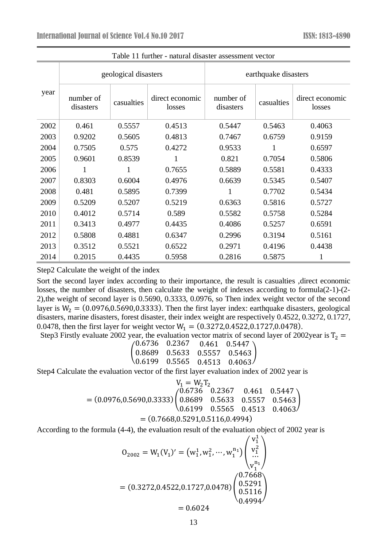| year | geological disasters   |            |                           | earthquake disasters   |            |                           |  |
|------|------------------------|------------|---------------------------|------------------------|------------|---------------------------|--|
|      | number of<br>disasters | casualties | direct economic<br>losses | number of<br>disasters | casualties | direct economic<br>losses |  |
| 2002 | 0.461                  | 0.5557     | 0.4513                    | 0.5447                 | 0.5463     | 0.4063                    |  |
| 2003 | 0.9202                 | 0.5605     | 0.4813                    | 0.7467                 | 0.6759     | 0.9159                    |  |
| 2004 | 0.7505                 | 0.575      | 0.4272                    | 0.9533                 | 1          | 0.6597                    |  |
| 2005 | 0.9601                 | 0.8539     |                           | 0.821                  | 0.7054     | 0.5806                    |  |
| 2006 | 1                      | 1          | 0.7655                    | 0.5889                 | 0.5581     | 0.4333                    |  |
| 2007 | 0.8303                 | 0.6004     | 0.4976                    | 0.6639                 | 0.5345     | 0.5407                    |  |
| 2008 | 0.481                  | 0.5895     | 0.7399                    |                        | 0.7702     | 0.5434                    |  |
| 2009 | 0.5209                 | 0.5207     | 0.5219                    | 0.6363                 | 0.5816     | 0.5727                    |  |
| 2010 | 0.4012                 | 0.5714     | 0.589                     | 0.5582                 | 0.5758     | 0.5284                    |  |
| 2011 | 0.3413                 | 0.4977     | 0.4435                    | 0.4086                 | 0.5257     | 0.6591                    |  |
| 2012 | 0.5808                 | 0.4881     | 0.6347                    | 0.2996                 | 0.3194     | 0.5161                    |  |
| 2013 | 0.3512                 | 0.5521     | 0.6522                    | 0.2971                 | 0.4196     | 0.4438                    |  |
| 2014 | 0.2015                 | 0.4435     | 0.5958                    | 0.2816                 | 0.5875     | 1                         |  |

Table 11 further - natural disaster assessment vector

Step2 Calculate the weight of the index

Sort the second layer index according to their importance, the result is casualties ,direct economic losses, the number of disasters, then calculate the weight of indexes according to formula(2-1)-(2- 2),the weight of second layer is 0.5690, 0.3333, 0.0976, so Then index weight vector of the second layer is  $W_2 = (0.0976, 0.5690, 0.3333)$ . Then the first layer index: earthquake disasters, geological disasters, marine disasters, forest disaster, their index weight are respectively 0.4522, 0.3272, 0.1727, 0.0478, then the first layer for weight vector  $W_1 = (0.3272, 0.4522, 0.1727, 0.0478)$ .

Step3 Firstly evaluate 2002 year, the evaluation vector matrix of second layer of 2002year is  $T_2$  =

|  | $\begin{pmatrix} 0.6736 & 0.2367 & 0.461 & 0.5447 \ 0.8689 & 0.5633 & 0.5557 & 0.5463 \ 0.6199 & 0.5565 & 0.4513 & 0.4063 \end{pmatrix}$ |
|--|------------------------------------------------------------------------------------------------------------------------------------------|

Step4 Calculate the evaluation vector of the first layer evaluation index of 2002 year is

$$
V_1 = W_2T_2
$$
  
= (0.0976,0.5690,0.3333)  

$$
(0.6736 \t 0.2367 \t 0.461 \t 0.5447)
$$
  

$$
(0.8689 \t 0.5633 \t 0.5557 \t 0.5463)
$$
  
= (0.7668,0.5291,0.5116,0.4994)

According to the formula (4-4), the evaluation result of the evaluation object of 2002 year is

$$
0_{2002} = W_1(V_1)' = (w_1^1, w_1^2, \cdots, w_1^{n_1}) \begin{pmatrix} v_1^1 \\ v_1^2 \\ \cdots \\ v_1^{n_1} \end{pmatrix}
$$
  
= (0.3272,0.4522,0.1727,0.0478) 
$$
\begin{pmatrix} 0.7668 \\ 0.5291 \\ 0.5116 \\ 0.4994 \end{pmatrix}
$$

 $= 0.6024$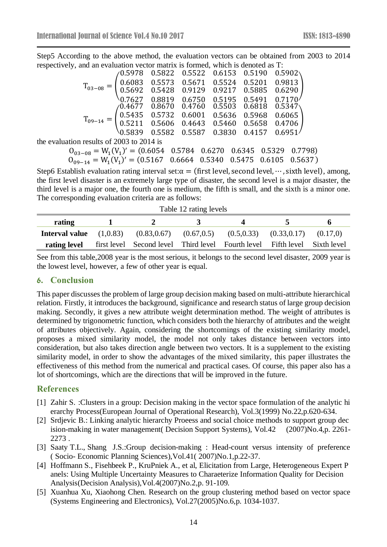Step5 According to the above method, the evaluation vectors can be obtained from 2003 to 2014 respectively, and an evaluation vector matrix is formed, which is denoted as T:

|                                                                                                                                                                                                                                                                               | <u>un calumnon accommon no rommeu, anche componente di</u> |  |                                                       |  |  |  |  |
|-------------------------------------------------------------------------------------------------------------------------------------------------------------------------------------------------------------------------------------------------------------------------------|------------------------------------------------------------|--|-------------------------------------------------------|--|--|--|--|
|                                                                                                                                                                                                                                                                               |                                                            |  | $\binom{0.5978}{0.5822}$ 0.5522 0.6153 0.5190 0.5902\ |  |  |  |  |
|                                                                                                                                                                                                                                                                               |                                                            |  |                                                       |  |  |  |  |
|                                                                                                                                                                                                                                                                               |                                                            |  |                                                       |  |  |  |  |
| $T_{03-08} = \begin{pmatrix} 0.6083 & 0.5573 & 0.5671 & 0.5524 & 0.5201 & 0.9813 \\ 0.5692 & 0.5428 & 0.9129 & 0.9217 & 0.5885 & 0.6290 \\ 0.7627 & 0.8819 & 0.6750 & 0.5195 & 0.5491 & 0.7170 \end{pmatrix}$                                                                 |                                                            |  |                                                       |  |  |  |  |
|                                                                                                                                                                                                                                                                               |                                                            |  |                                                       |  |  |  |  |
|                                                                                                                                                                                                                                                                               |                                                            |  |                                                       |  |  |  |  |
|                                                                                                                                                                                                                                                                               |                                                            |  |                                                       |  |  |  |  |
| $\mathbf{T}_{09-14} = \begin{pmatrix} 0.4677 & 0.8670 & 0.4760 & 0.5503 & 0.6818 & 0.5347 \\ 0.5435 & 0.5732 & 0.6001 & 0.5636 & 0.5968 & 0.6065 \\ 0.5211 & 0.5606 & 0.4643 & 0.5460 & 0.5658 & 0.4706 \\ 0.5839 & 0.5582 & 0.5587 & 0.3830 & 0.4157 & 0.6951 \end{pmatrix}$ |                                                            |  |                                                       |  |  |  |  |
| the evaluation results of 2003 to 2014 is                                                                                                                                                                                                                                     |                                                            |  |                                                       |  |  |  |  |
| $O_{03-08} = W_1(V_1)' = (0.6054 \quad 0.5784 \quad 0.6270 \quad 0.6345 \quad 0.5329 \quad 0.7798)$                                                                                                                                                                           |                                                            |  |                                                       |  |  |  |  |
|                                                                                                                                                                                                                                                                               |                                                            |  |                                                       |  |  |  |  |

 $O_{0.9-14} = W_1(V_1)' = (0.5167 \quad 0.6664 \quad 0.5340 \quad 0.5475 \quad 0.6105 \quad 0.5637)$ 

Step6 Establish evaluation rating interval set: $\alpha$  = (first level, second level, …, sixth level), among, the first level disaster is an extremely large type of disaster, the second level is a major disaster, the third level is a major one, the fourth one is medium, the fifth is small, and the sixth is a minor one. The corresponding evaluation criteria are as follows:

| Table 12 rating levels           |  |                                                                           |  |                                                           |                      |          |  |
|----------------------------------|--|---------------------------------------------------------------------------|--|-----------------------------------------------------------|----------------------|----------|--|
| rating                           |  |                                                                           |  |                                                           | $\ddot{\phantom{1}}$ | 'n       |  |
| <b>Interval value</b> $(1,0.83)$ |  |                                                                           |  | $(0.83, 0.67)$ $(0.67, 0.5)$ $(0.5, 0.33)$ $(0.33, 0.17)$ |                      | (0.17,0) |  |
| rating level                     |  | first level Second level Third level Fourth level Fifth level Sixth level |  |                                                           |                      |          |  |

See from this table,2008 year is the most serious, it belongs to the second level disaster, 2009 year is the lowest level, however, a few of other year is equal.

# **6. Conclusion**

This paper discusses the problem of large group decision making based on multi-attribute hierarchical relation. Firstly, it introduces the background, significance and research status of large group decision making. Secondly, it gives a new attribute weight determination method. The weight of attributes is determined by trigonometric function, which considers both the hierarchy of attributes and the weight of attributes objectively. Again, considering the shortcomings of the existing similarity model, proposes a mixed similarity model, the model not only takes distance between vectors into consideration, but also takes direction angle between two vectors. It is a supplement to the existing similarity model, in order to show the advantages of the mixed similarity, this paper illustrates the effectiveness of this method from the numerical and practical cases. Of course, this paper also has a lot of shortcomings, which are the directions that will be improved in the future.

# **References**

- <span id="page-13-0"></span>[1] Zahir S. :Clusters in a group: Decision making in the vector space formulation of the analytic hi erarchy Process(European Journal of Operational Research), Vol.3(1999) No.22,p.620-634.
- <span id="page-13-1"></span>[2] Srdjevic B.: Linking analytic hierarchy Proeess and social choice methods to support group dec ision-making in water management( Decision Support Systems), Vol.42 (2007)No.4,p. 2261- 2273 .
- <span id="page-13-2"></span>[3] Saaty T.L., Shang J.S.:Group decision-making : Head-count versus intensity of preference ( Socio- Economic Planning Sciences),Vol.41( 2007)No.1,p.22-37.
- <span id="page-13-3"></span>[4] Hoffmann S., Fisehbeek P., KruPniek A., et al, Elicitation from Large, Heterogeneous Expert P anels: Using Multiple Uncertainty Measures to Charaeterize Information Quality for Decision Analysis(Decision Analysis),Vol.4(2007)No.2,p. 91-109.
- <span id="page-13-4"></span>[5] Xuanhua Xu, Xiaohong Chen. Research on the group clustering method based on vector space (Systems Engineering and Electronics), Vol.27(2005)No.6,p. 1034-1037.